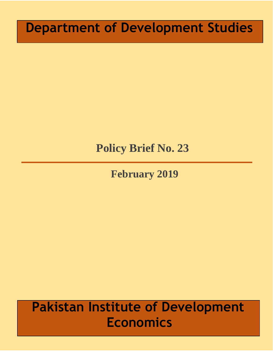# **Department of Development Studies**

# **Policy Brief No. 23**

**February 2019**

# **Pakistan Institute of Development Economics**